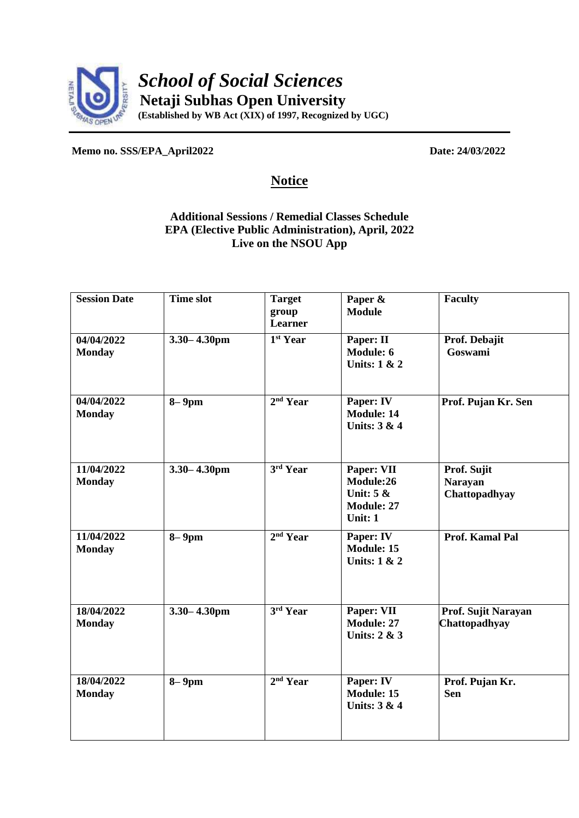

**Memo no. SSS/EPA\_April2022 Date: 24/03/2022**

## **Notice**

## **Additional Sessions / Remedial Classes Schedule EPA (Elective Public Administration), April, 2022 Live on the NSOU App**

| <b>Session Date</b>         | <b>Time slot</b> | <b>Target</b><br>group<br>Learner | Paper &<br><b>Module</b>                                               | <b>Faculty</b>                                 |
|-----------------------------|------------------|-----------------------------------|------------------------------------------------------------------------|------------------------------------------------|
| 04/04/2022<br><b>Monday</b> | $3.30 - 4.30$ pm | 1 <sup>st</sup> Year              | Paper: II<br>Module: 6<br><b>Units: 1 &amp; 2</b>                      | Prof. Debajit<br>Goswami                       |
| 04/04/2022<br><b>Monday</b> | $8-9$ pm         | 2 <sup>nd</sup> Year              | Paper: IV<br><b>Module: 14</b><br>Units: 3 & 4                         | Prof. Pujan Kr. Sen                            |
| 11/04/2022<br><b>Monday</b> | $3.30 - 4.30$ pm | 3rd Year                          | Paper: VII<br>Module:26<br>Unit: $5 &$<br><b>Module: 27</b><br>Unit: 1 | Prof. Sujit<br><b>Narayan</b><br>Chattopadhyay |
| 11/04/2022<br><b>Monday</b> | $8-9$ pm         | 2 <sup>nd</sup> Year              | Paper: IV<br><b>Module: 15</b><br><b>Units: 1 &amp; 2</b>              | <b>Prof. Kamal Pal</b>                         |
| 18/04/2022<br><b>Monday</b> | $3.30 - 4.30$ pm | 3rd Year                          | Paper: VII<br><b>Module: 27</b><br>Units: 2 & 3                        | Prof. Sujit Narayan<br>Chattopadhyay           |
| 18/04/2022<br><b>Monday</b> | $8-9$ pm         | 2 <sup>nd</sup> Year              | Paper: IV<br><b>Module: 15</b><br><b>Units: 3 &amp; 4</b>              | Prof. Pujan Kr.<br><b>Sen</b>                  |